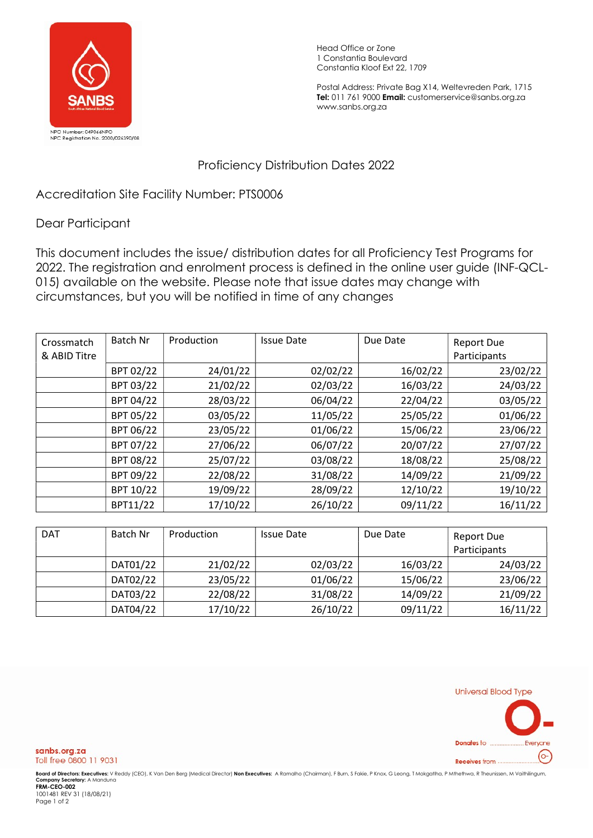

Head Office or Zone 1 Constantia Boulevard Constantia Kloof Ext 22, 1709

Postal Address: Private Bag X14, Weltevreden Park, 1715 Tel: 011 761 9000 Email: customerservice@sanbs.org.za www.sanbs.org.za

## Proficiency Distribution Dates 2022

Accreditation Site Facility Number: PTS0006

## Dear Participant

This document includes the issue/ distribution dates for all Proficiency Test Programs for 2022. The registration and enrolment process is defined in the online user guide (INF-QCL-015) available on the website. Please note that issue dates may change with circumstances, but you will be notified in time of any changes

| Crossmatch<br>& ABID Titre | Batch Nr  | Production | <b>Issue Date</b> | Due Date | <b>Report Due</b><br>Participants |
|----------------------------|-----------|------------|-------------------|----------|-----------------------------------|
|                            | BPT 02/22 | 24/01/22   | 02/02/22          | 16/02/22 | 23/02/22                          |
|                            | BPT 03/22 | 21/02/22   | 02/03/22          | 16/03/22 | 24/03/22                          |
|                            | BPT 04/22 | 28/03/22   | 06/04/22          | 22/04/22 | 03/05/22                          |
|                            | BPT 05/22 | 03/05/22   | 11/05/22          | 25/05/22 | 01/06/22                          |
|                            | BPT 06/22 | 23/05/22   | 01/06/22          | 15/06/22 | 23/06/22                          |
|                            | BPT 07/22 | 27/06/22   | 06/07/22          | 20/07/22 | 27/07/22                          |
|                            | BPT 08/22 | 25/07/22   | 03/08/22          | 18/08/22 | 25/08/22                          |
|                            | BPT 09/22 | 22/08/22   | 31/08/22          | 14/09/22 | 21/09/22                          |
|                            | BPT 10/22 | 19/09/22   | 28/09/22          | 12/10/22 | 19/10/22                          |
|                            | BPT11/22  | 17/10/22   | 26/10/22          | 09/11/22 | 16/11/22                          |

| <b>DAT</b> | Batch Nr | Production | <b>Issue Date</b> | Due Date | <b>Report Due</b> |
|------------|----------|------------|-------------------|----------|-------------------|
|            |          |            |                   |          | Participants      |
|            | DAT01/22 | 21/02/22   | 02/03/22          | 16/03/22 | 24/03/22          |
|            | DAT02/22 | 23/05/22   | 01/06/22          | 15/06/22 | 23/06/22          |
|            | DAT03/22 | 22/08/22   | 31/08/22          | 14/09/22 | 21/09/22          |
|            | DAT04/22 | 17/10/22   | 26/10/22          | 09/11/22 | 16/11/22          |



sanbs.org.za Toll free 0800 11 9031

**Board of Directors: Executives:** V Reddy (CEO), K Van Den Berg (Medical Director) **Non Executives:** A Ramalho (Chairman), F Burn, S Fakie, P Knox, G Leong, T Mokgatlha, P Mthethwa, R Theunissen, M Vaithilingum,<br>**Company S** 

1001481 REV 31 (18/08/21) Page 1 of 2